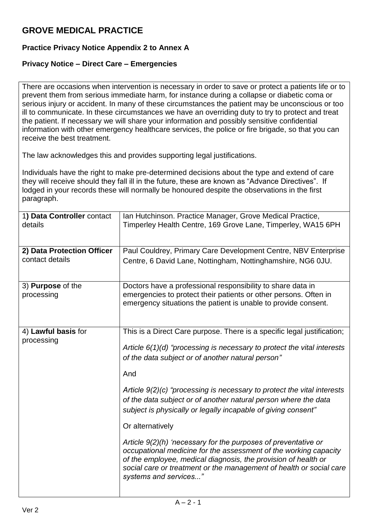## **GROVE MEDICAL PRACTICE**

## **Practice Privacy Notice Appendix 2 to Annex A**

## **Privacy Notice – Direct Care – Emergencies**

There are occasions when intervention is necessary in order to save or protect a patients life or to prevent them from serious immediate harm, for instance during a collapse or diabetic coma or serious injury or accident. In many of these circumstances the patient may be unconscious or too ill to communicate. In these circumstances we have an overriding duty to try to protect and treat the patient. If necessary we will share your information and possibly sensitive confidential information with other emergency healthcare services, the police or fire brigade, so that you can receive the best treatment.

The law acknowledges this and provides supporting legal justifications.

Individuals have the right to make pre-determined decisions about the type and extend of care they will receive should they fall ill in the future, these are known as "Advance Directives". If lodged in your records these will normally be honoured despite the observations in the first paragraph.

| 1) Data Controller contact<br>details | Ian Hutchinson. Practice Manager, Grove Medical Practice,<br>Timperley Health Centre, 169 Grove Lane, Timperley, WA15 6PH                                                                                                                                                                            |
|---------------------------------------|------------------------------------------------------------------------------------------------------------------------------------------------------------------------------------------------------------------------------------------------------------------------------------------------------|
| 2) Data Protection Officer            | Paul Couldrey, Primary Care Development Centre, NBV Enterprise                                                                                                                                                                                                                                       |
| contact details                       | Centre, 6 David Lane, Nottingham, Nottinghamshire, NG6 0JU.                                                                                                                                                                                                                                          |
| 3) Purpose of the                     | Doctors have a professional responsibility to share data in                                                                                                                                                                                                                                          |
| processing                            | emergencies to protect their patients or other persons. Often in<br>emergency situations the patient is unable to provide consent.                                                                                                                                                                   |
| 4) Lawful basis for                   | This is a Direct Care purpose. There is a specific legal justification;                                                                                                                                                                                                                              |
| processing                            |                                                                                                                                                                                                                                                                                                      |
|                                       | Article $6(1)(d)$ "processing is necessary to protect the vital interests"<br>of the data subject or of another natural person"                                                                                                                                                                      |
|                                       | And                                                                                                                                                                                                                                                                                                  |
|                                       | Article 9(2)(c) "processing is necessary to protect the vital interests<br>of the data subject or of another natural person where the data<br>subject is physically or legally incapable of giving consent"                                                                                          |
|                                       | Or alternatively                                                                                                                                                                                                                                                                                     |
|                                       | Article 9(2)(h) 'necessary for the purposes of preventative or<br>occupational medicine for the assessment of the working capacity<br>of the employee, medical diagnosis, the provision of health or<br>social care or treatment or the management of health or social care<br>systems and services" |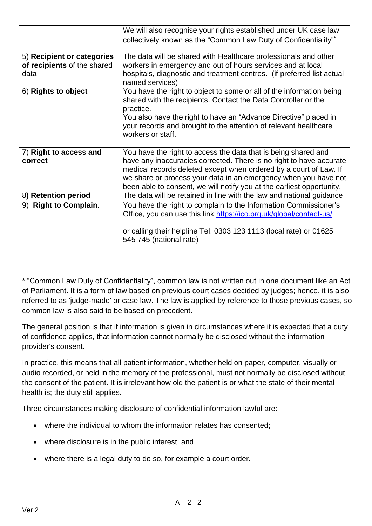|                                                                   | We will also recognise your rights established under UK case law                                                                                                                                                                                                                                                                                       |
|-------------------------------------------------------------------|--------------------------------------------------------------------------------------------------------------------------------------------------------------------------------------------------------------------------------------------------------------------------------------------------------------------------------------------------------|
|                                                                   | collectively known as the "Common Law Duty of Confidentiality"*                                                                                                                                                                                                                                                                                        |
| 5) Recipient or categories<br>of recipients of the shared<br>data | The data will be shared with Healthcare professionals and other<br>workers in emergency and out of hours services and at local<br>hospitals, diagnostic and treatment centres. (if preferred list actual<br>named services)                                                                                                                            |
| 6) Rights to object                                               | You have the right to object to some or all of the information being<br>shared with the recipients. Contact the Data Controller or the<br>practice.<br>You also have the right to have an "Advance Directive" placed in<br>your records and brought to the attention of relevant healthcare<br>workers or staff.                                       |
| 7) Right to access and<br>correct                                 | You have the right to access the data that is being shared and<br>have any inaccuracies corrected. There is no right to have accurate<br>medical records deleted except when ordered by a court of Law. If<br>we share or process your data in an emergency when you have not<br>been able to consent, we will notify you at the earliest opportunity. |
| 8) Retention period                                               | The data will be retained in line with the law and national guidance                                                                                                                                                                                                                                                                                   |
| 9) Right to Complain.                                             | You have the right to complain to the Information Commissioner's<br>Office, you can use this link https://ico.org.uk/global/contact-us/<br>or calling their helpline Tel: 0303 123 1113 (local rate) or 01625<br>545 745 (national rate)                                                                                                               |

\* "Common Law Duty of Confidentiality", common law is not written out in one document like an Act of Parliament. It is a form of law based on previous court cases decided by judges; hence, it is also referred to as 'judge-made' or case law. The law is applied by reference to those previous cases, so common law is also said to be based on precedent.

The general position is that if information is given in circumstances where it is expected that a duty of confidence applies, that information cannot normally be disclosed without the information provider's consent.

In practice, this means that all patient information, whether held on paper, computer, visually or audio recorded, or held in the memory of the professional, must not normally be disclosed without the consent of the patient. It is irrelevant how old the patient is or what the state of their mental health is; the duty still applies.

Three circumstances making disclosure of confidential information lawful are:

- where the individual to whom the information relates has consented;
- where disclosure is in the public interest; and
- where there is a legal duty to do so, for example a court order.